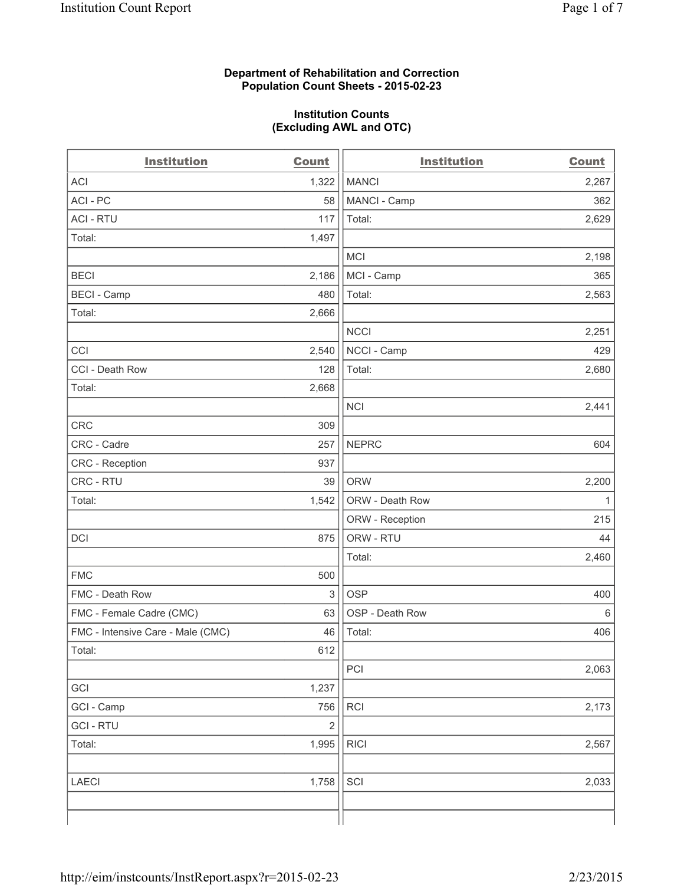## **Department of Rehabilitation and Correction Population Count Sheets - 2015-02-23**

## **Institution Counts (Excluding AWL and OTC)**

| <b>Institution</b>                | <b>Count</b>   | <b>Institution</b> | <b>Count</b> |
|-----------------------------------|----------------|--------------------|--------------|
| <b>ACI</b>                        | 1,322          | <b>MANCI</b>       | 2,267        |
| ACI - PC                          | 58             | MANCI - Camp       | 362          |
| <b>ACI - RTU</b>                  | 117            | Total:             | 2,629        |
| Total:                            | 1,497          |                    |              |
|                                   |                | <b>MCI</b>         | 2,198        |
| <b>BECI</b>                       | 2,186          | MCI - Camp         | 365          |
| <b>BECI</b> - Camp                | 480            | Total:             | 2,563        |
| Total:                            | 2,666          |                    |              |
|                                   |                | <b>NCCI</b>        | 2,251        |
| CCI                               | 2,540          | NCCI - Camp        | 429          |
| CCI - Death Row                   | 128            | Total:             | 2,680        |
| Total:                            | 2,668          |                    |              |
|                                   |                | <b>NCI</b>         | 2,441        |
| CRC                               | 309            |                    |              |
| CRC - Cadre                       | 257            | <b>NEPRC</b>       | 604          |
| <b>CRC</b> - Reception            | 937            |                    |              |
| CRC - RTU                         | 39             | <b>ORW</b>         | 2,200        |
| Total:                            | 1,542          | ORW - Death Row    | $\mathbf{1}$ |
|                                   |                | ORW - Reception    | 215          |
| DCI                               | 875            | ORW - RTU          | 44           |
|                                   |                | Total:             | 2,460        |
| <b>FMC</b>                        | 500            |                    |              |
| FMC - Death Row                   | 3              | <b>OSP</b>         | 400          |
| FMC - Female Cadre (CMC)          | 63             | OSP - Death Row    | $\,6\,$      |
| FMC - Intensive Care - Male (CMC) | 46             | Total:             | 406          |
| Total:                            | 612            |                    |              |
|                                   |                | PCI                | 2,063        |
| GCI                               | 1,237          |                    |              |
| GCI - Camp                        | 756            | RCI                | 2,173        |
| <b>GCI-RTU</b>                    | $\overline{2}$ |                    |              |
| Total:                            | 1,995          | <b>RICI</b>        | 2,567        |
|                                   |                |                    |              |
| LAECI                             | 1,758          | SCI                | 2,033        |
|                                   |                |                    |              |
|                                   |                |                    |              |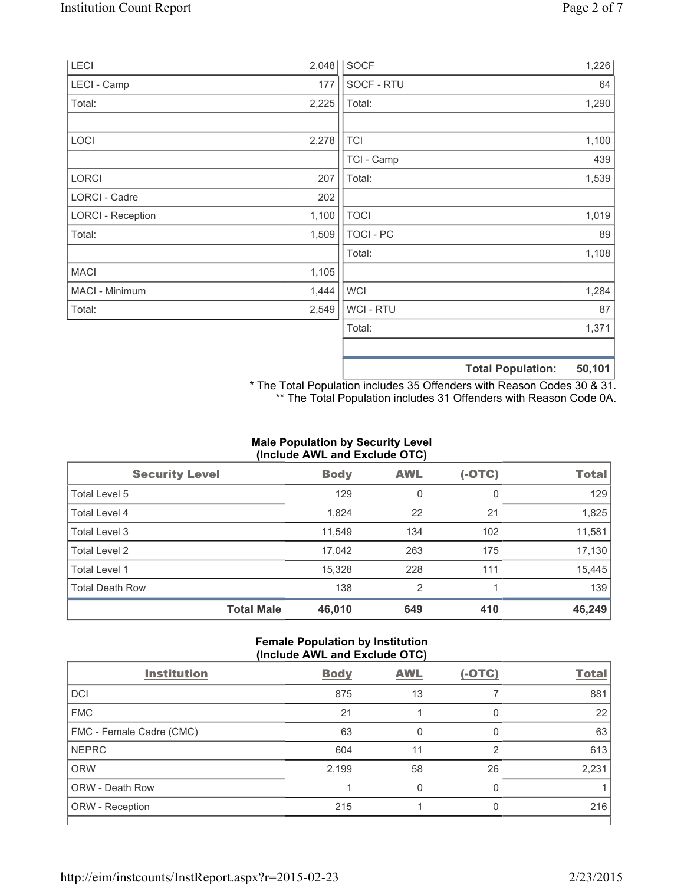| LECI                     | 2,048 | SOCF             |                          | 1,226  |
|--------------------------|-------|------------------|--------------------------|--------|
| LECI - Camp              | 177   | SOCF - RTU       |                          | 64     |
| Total:                   | 2,225 | Total:           |                          | 1,290  |
|                          |       |                  |                          |        |
| LOCI                     | 2,278 | <b>TCI</b>       |                          | 1,100  |
|                          |       | TCI - Camp       |                          | 439    |
| LORCI                    | 207   | Total:           |                          | 1,539  |
| LORCI - Cadre            | 202   |                  |                          |        |
| <b>LORCI - Reception</b> | 1,100 | <b>TOCI</b>      |                          | 1,019  |
| Total:                   | 1,509 | <b>TOCI - PC</b> |                          | 89     |
|                          |       | Total:           |                          | 1,108  |
| <b>MACI</b>              | 1,105 |                  |                          |        |
| MACI - Minimum           | 1,444 | <b>WCI</b>       |                          | 1,284  |
| Total:                   | 2,549 | <b>WCI-RTU</b>   |                          | 87     |
|                          |       | Total:           |                          | 1,371  |
|                          |       |                  |                          |        |
|                          |       |                  | <b>Total Population:</b> | 50,101 |

\* The Total Population includes 35 Offenders with Reason Codes 30 & 31. \*\* The Total Population includes 31 Offenders with Reason Code 0A.

# **Male Population by Security Level (Include AWL and Exclude OTC)**

| <b>Security Level</b>  |                   | <b>Body</b> | <b>AWL</b>     | $(-OTC)$ | <b>Total</b> |
|------------------------|-------------------|-------------|----------------|----------|--------------|
| Total Level 5          |                   | 129         | 0              | 0        | 129          |
| <b>Total Level 4</b>   |                   | 1,824       | 22             | 21       | 1,825        |
| Total Level 3          |                   | 11,549      | 134            | 102      | 11,581       |
| Total Level 2          |                   | 17,042      | 263            | 175      | 17,130       |
| Total Level 1          |                   | 15,328      | 228            | 111      | 15,445       |
| <b>Total Death Row</b> |                   | 138         | $\overline{2}$ |          | 139          |
|                        | <b>Total Male</b> | 46,010      | 649            | 410      | 46,249       |

#### **Female Population by Institution (Include AWL and Exclude OTC)**

| <b>Institution</b>       | <b>Body</b> | <b>AWL</b> | $(-OTC)$ | <b>Total</b> |
|--------------------------|-------------|------------|----------|--------------|
| <b>DCI</b>               | 875         | 13         |          | 881          |
| <b>FMC</b>               | 21          |            | 0        | 22           |
| FMC - Female Cadre (CMC) | 63          | 0          | 0        | 63           |
| <b>NEPRC</b>             | 604         | 11         | 2        | 613          |
| <b>ORW</b>               | 2,199       | 58         | 26       | 2,231        |
| <b>ORW - Death Row</b>   |             | U          | 0        |              |
| ORW - Reception          | 215         |            | U        | 216          |
|                          |             |            |          |              |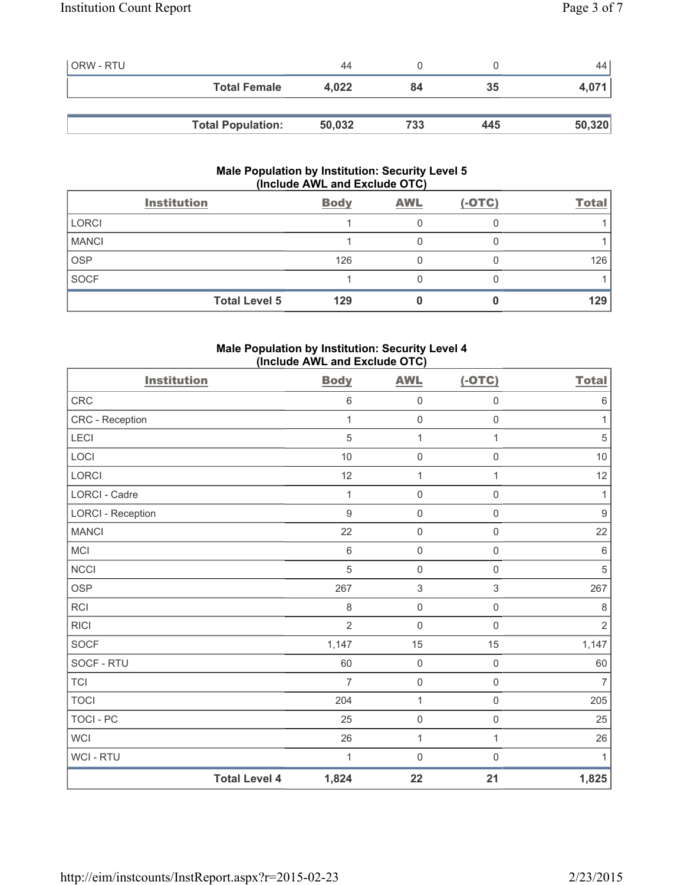| <b>ORW - RTU</b> |                          | 44     |     |     | 44     |
|------------------|--------------------------|--------|-----|-----|--------|
|                  | <b>Total Female</b>      | 4,022  | 84  | 35  | 4,071  |
|                  |                          |        |     |     |        |
|                  | <b>Total Population:</b> | 50,032 | 733 | 445 | 50,320 |

# **Male Population by Institution: Security Level 5 (Include AWL and Exclude OTC)**

|              | <b>Institution</b>   | <b>Body</b> | <b>AWL</b> | $(-OTC)$ | <b>Total</b> |
|--------------|----------------------|-------------|------------|----------|--------------|
| <b>LORCI</b> |                      |             |            |          |              |
| <b>MANCI</b> |                      |             |            |          |              |
| <b>OSP</b>   |                      | 126         |            |          | 126          |
| <b>SOCF</b>  |                      |             |            |          |              |
|              | <b>Total Level 5</b> | 129         |            |          | 129          |

## **Male Population by Institution: Security Level 4 (Include AWL and Exclude OTC)**

| <b>Institution</b>       |                      | <b>Body</b>    | <b>AWL</b>          | $(-OTC)$            | <b>Total</b>     |
|--------------------------|----------------------|----------------|---------------------|---------------------|------------------|
| CRC                      |                      | $\,6\,$        | $\mathsf{O}\xspace$ | $\mathsf{O}\xspace$ | $\,6\,$          |
| CRC - Reception          |                      | 1              | $\mathbf 0$         | $\mathbf 0$         | 1                |
| <b>LECI</b>              |                      | 5              | 1                   | $\mathbf{1}$        | $\sqrt{5}$       |
| LOCI                     |                      | 10             | $\mathsf{O}\xspace$ | $\mathsf{O}\xspace$ | $10$             |
| <b>LORCI</b>             |                      | 12             | $\mathbf{1}$        | 1                   | 12               |
| <b>LORCI - Cadre</b>     |                      | 1              | $\mathbf 0$         | $\mathsf{O}\xspace$ | 1                |
| <b>LORCI - Reception</b> |                      | 9              | $\mathsf{O}\xspace$ | $\mathsf{O}\xspace$ | $\boldsymbol{9}$ |
| <b>MANCI</b>             |                      | 22             | $\mathsf{O}\xspace$ | $\mathsf{O}\xspace$ | 22               |
| <b>MCI</b>               |                      | $\,6\,$        | $\mathbf 0$         | $\mathsf{O}\xspace$ | $\,6\,$          |
| NCCI                     |                      | 5              | $\mathsf{O}\xspace$ | $\mathsf{O}\xspace$ | $\sqrt{5}$       |
| <b>OSP</b>               |                      | 267            | $\sqrt{3}$          | $\mathfrak{S}$      | 267              |
| <b>RCI</b>               |                      | 8              | $\mathsf 0$         | $\mathsf{O}\xspace$ | $\,8\,$          |
| <b>RICI</b>              |                      | $\overline{2}$ | $\mathsf{O}\xspace$ | $\mathsf{O}\xspace$ | $\sqrt{2}$       |
| <b>SOCF</b>              |                      | 1,147          | 15                  | 15                  | 1,147            |
| SOCF - RTU               |                      | 60             | $\mathbf 0$         | $\mathbf 0$         | 60               |
| <b>TCI</b>               |                      | $\overline{7}$ | $\mathsf{O}\xspace$ | $\mathsf{O}\xspace$ | $\overline{7}$   |
| <b>TOCI</b>              |                      | 204            | $\mathbf{1}$        | $\mathbf 0$         | 205              |
| <b>TOCI - PC</b>         |                      | 25             | $\mathsf{O}\xspace$ | $\mathsf{O}\xspace$ | 25               |
| <b>WCI</b>               |                      | 26             | 1                   | $\mathbf{1}$        | 26               |
| WCI - RTU                |                      | 1              | $\mathsf{O}\xspace$ | $\boldsymbol{0}$    | $\mathbf{1}$     |
|                          | <b>Total Level 4</b> | 1,824          | 22                  | 21                  | 1,825            |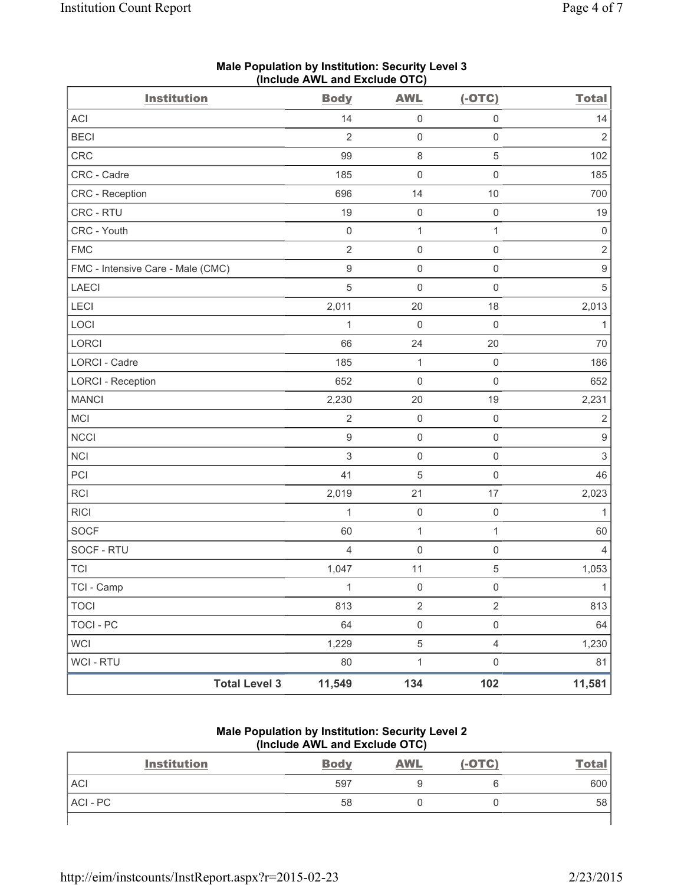| <b>Institution</b>                | <b>Body</b>    | <b>AWL</b>          | $(-OTC)$            | <b>Total</b>              |
|-----------------------------------|----------------|---------------------|---------------------|---------------------------|
| ACI                               | 14             | $\mathsf{O}\xspace$ | $\mathbf 0$         | 14                        |
| <b>BECI</b>                       | $\overline{2}$ | $\mathsf{O}\xspace$ | $\mathsf{O}\xspace$ | $\overline{2}$            |
| CRC                               | 99             | $\,8\,$             | 5                   | 102                       |
| CRC - Cadre                       | 185            | $\mathsf{O}\xspace$ | $\mathsf{O}\xspace$ | 185                       |
| CRC - Reception                   | 696            | 14                  | 10                  | 700                       |
| CRC - RTU                         | 19             | $\mathsf{O}\xspace$ | $\boldsymbol{0}$    | 19                        |
| CRC - Youth                       | $\mathbf 0$    | $\mathbf{1}$        | $\mathbf{1}$        | $\mathbf 0$               |
| <b>FMC</b>                        | $\overline{2}$ | $\mathsf{O}\xspace$ | $\mathsf{O}\xspace$ | $\overline{2}$            |
| FMC - Intensive Care - Male (CMC) | $\mathsf 9$    | $\mathsf{O}\xspace$ | $\mathsf{O}\xspace$ | $\boldsymbol{9}$          |
| <b>LAECI</b>                      | 5              | $\mathsf{O}\xspace$ | $\mathsf{O}\xspace$ | 5                         |
| LECI                              | 2,011          | 20                  | 18                  | 2,013                     |
| LOCI                              | $\mathbf 1$    | $\mathbf 0$         | $\mathsf{O}\xspace$ | $\mathbf{1}$              |
| LORCI                             | 66             | 24                  | 20                  | 70                        |
| <b>LORCI - Cadre</b>              | 185            | $\mathbf{1}$        | $\mathbf 0$         | 186                       |
| <b>LORCI - Reception</b>          | 652            | $\mathsf{O}\xspace$ | $\mathsf{O}\xspace$ | 652                       |
| <b>MANCI</b>                      | 2,230          | 20                  | 19                  | 2,231                     |
| MCI                               | $\overline{2}$ | $\mathsf{O}\xspace$ | $\mathsf{O}\xspace$ | $\sqrt{2}$                |
| <b>NCCI</b>                       | $\mathsf g$    | $\mathsf{O}\xspace$ | $\mathsf{O}\xspace$ | $\boldsymbol{9}$          |
| NCI                               | 3              | $\mathsf{O}\xspace$ | $\mathsf{O}\xspace$ | $\ensuremath{\mathsf{3}}$ |
| PCI                               | 41             | 5                   | $\mathsf{O}\xspace$ | 46                        |
| RCI                               | 2,019          | 21                  | $17$                | 2,023                     |
| <b>RICI</b>                       | $\mathbf 1$    | $\mathsf{O}\xspace$ | $\mathsf{O}\xspace$ | $\mathbf{1}$              |
| <b>SOCF</b>                       | 60             | $\mathbf{1}$        | $\mathbf{1}$        | 60                        |
| SOCF - RTU                        | $\overline{4}$ | $\mathbf 0$         | $\mathbf 0$         | $\overline{4}$            |
| <b>TCI</b>                        | 1,047          | 11                  | $\mathbf 5$         | 1,053                     |
| TCI - Camp                        | 1              | 0                   | 0                   | $\mathbf{1}$              |
| <b>TOCI</b>                       | 813            | $\sqrt{2}$          | $\overline{2}$      | 813                       |
| <b>TOCI - PC</b>                  | 64             | $\mathsf{O}\xspace$ | $\mathsf{O}\xspace$ | 64                        |
| <b>WCI</b>                        | 1,229          | $\,$ 5 $\,$         | $\overline{4}$      | 1,230                     |
| WCI - RTU                         | 80             | $\mathbf 1$         | $\mathsf{O}\xspace$ | 81                        |
| <b>Total Level 3</b>              | 11,549         | 134                 | 102                 | 11,581                    |

## **Male Population by Institution: Security Level 3 (Include AWL and Exclude OTC)**

**Male Population by Institution: Security Level 2 (Include AWL and Exclude OTC)** 

| <b>Institution</b> | <b>Body</b> | <b>AWL</b> | $(-OTC)$ | <u>Total</u> |
|--------------------|-------------|------------|----------|--------------|
| <b>ACI</b>         | 597         |            |          | 600          |
| ACI-PC             | 58          |            |          | 58           |
|                    |             |            |          |              |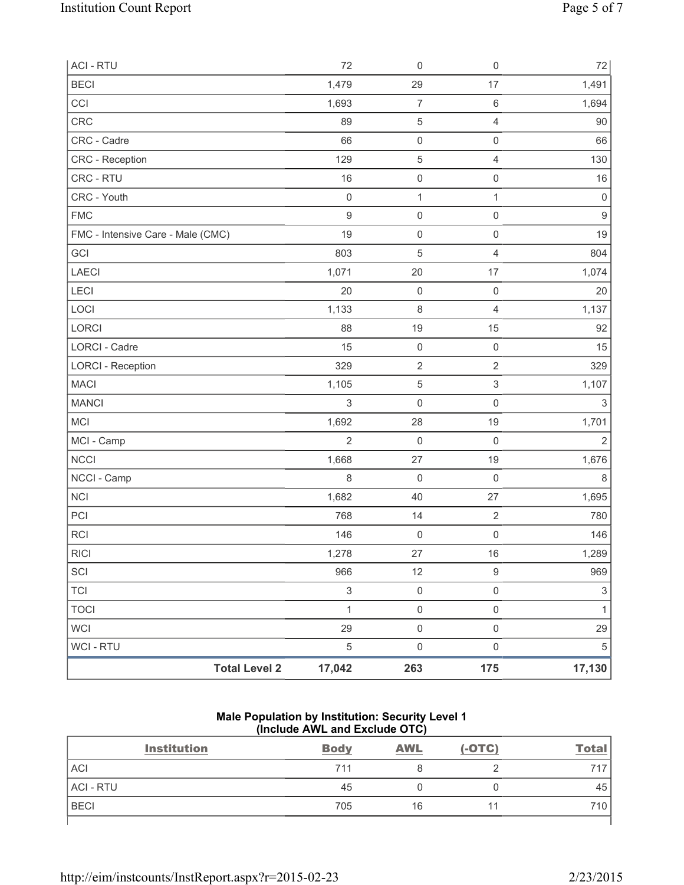| <b>ACI - RTU</b>                  |                      | 72             | $\mathsf{O}\xspace$ | $\mathsf{O}\xspace$ | $72\,$                    |
|-----------------------------------|----------------------|----------------|---------------------|---------------------|---------------------------|
| <b>BECI</b>                       |                      | 1,479          | 29                  | 17                  | 1,491                     |
| CCI                               |                      | 1,693          | $\boldsymbol{7}$    | $\,6\,$             | 1,694                     |
| CRC                               |                      | 89             | $\mathbf 5$         | $\overline{4}$      | 90                        |
| CRC - Cadre                       |                      | 66             | $\mathsf{O}\xspace$ | $\mathsf 0$         | 66                        |
| CRC - Reception                   |                      | 129            | 5                   | $\overline{4}$      | 130                       |
| CRC - RTU                         |                      | 16             | $\mathsf{O}\xspace$ | $\mathsf 0$         | 16                        |
| CRC - Youth                       |                      | $\mathbf 0$    | $\mathbf{1}$        | $\mathbf{1}$        | $\mathbf 0$               |
| <b>FMC</b>                        |                      | $\overline{9}$ | $\mathsf{O}\xspace$ | $\mathsf{O}\xspace$ | $\boldsymbol{9}$          |
| FMC - Intensive Care - Male (CMC) |                      | 19             | $\mathsf{O}\xspace$ | $\mathsf{O}\xspace$ | 19                        |
| GCI                               |                      | 803            | $\sqrt{5}$          | $\overline{4}$      | 804                       |
| LAECI                             |                      | 1,071          | 20                  | 17                  | 1,074                     |
| LECI                              |                      | 20             | $\mathsf{O}\xspace$ | $\mathbf 0$         | 20                        |
| LOCI                              |                      | 1,133          | $\,8\,$             | $\overline{4}$      | 1,137                     |
| LORCI                             |                      | 88             | 19                  | 15                  | 92                        |
| <b>LORCI - Cadre</b>              |                      | 15             | $\mathsf{O}\xspace$ | $\mathsf 0$         | 15                        |
| <b>LORCI - Reception</b>          |                      | 329            | $\overline{2}$      | $\overline{2}$      | 329                       |
| <b>MACI</b>                       |                      | 1,105          | $\,$ 5 $\,$         | $\mathsf 3$         | 1,107                     |
| <b>MANCI</b>                      |                      | $\mathfrak{Z}$ | $\mathsf{O}\xspace$ | $\mathsf{O}\xspace$ | 3                         |
| MCI                               |                      | 1,692          | 28                  | 19                  | 1,701                     |
| MCI - Camp                        |                      | $\overline{2}$ | $\mathsf{O}\xspace$ | $\mathsf 0$         | $\overline{2}$            |
| NCCI                              |                      | 1,668          | 27                  | 19                  | 1,676                     |
| NCCI - Camp                       |                      | 8              | $\mathsf{O}\xspace$ | $\mathbf 0$         | 8                         |
| <b>NCI</b>                        |                      | 1,682          | 40                  | 27                  | 1,695                     |
| PCI                               |                      | 768            | 14                  | $\overline{2}$      | 780                       |
| <b>RCI</b>                        |                      | 146            | $\boldsymbol{0}$    | $\mathsf{O}\xspace$ | 146                       |
| <b>RICI</b>                       |                      | 1,278          | 27                  | 16                  | 1,289                     |
| SCI                               |                      | 966            | 12                  | $\hbox{9}$          | 969                       |
| <b>TCI</b>                        |                      | $\mathfrak{S}$ | $\mathsf{O}\xspace$ | $\mathsf{O}\xspace$ | $\ensuremath{\mathsf{3}}$ |
| <b>TOCI</b>                       |                      | $\mathbf{1}$   | $\mathsf{O}\xspace$ | $\mathsf{O}\xspace$ | $\mathbf{1}$              |
| <b>WCI</b>                        |                      | 29             | $\mathsf{O}\xspace$ | $\mathsf{O}\xspace$ | 29                        |
| <b>WCI - RTU</b>                  |                      | $\sqrt{5}$     | $\mathsf{O}\xspace$ | $\mathsf{O}\xspace$ | $\sqrt{5}$                |
|                                   | <b>Total Level 2</b> | 17,042         | 263                 | 175                 | 17,130                    |

### **Male Population by Institution: Security Level 1 (Include AWL and Exclude OTC)**

| <b>Institution</b> | <b>Body</b> | <b>AWL</b> | $(-OTC)$ | <u>Total</u> |
|--------------------|-------------|------------|----------|--------------|
| <b>ACI</b>         | 711         |            |          | 717          |
| <b>ACI - RTU</b>   | 45          |            |          | 45           |
| <b>BECI</b>        | 705         | 16         |          | 710          |
|                    |             |            |          |              |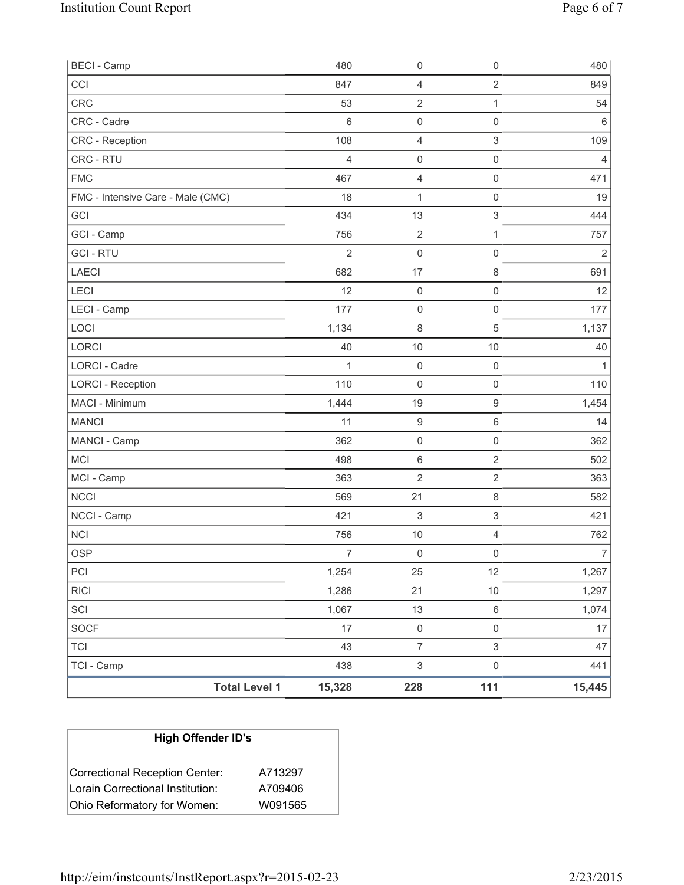| <b>BECI - Camp</b>                |                      | 480            | 0                         | $\mathbf 0$               | 480            |
|-----------------------------------|----------------------|----------------|---------------------------|---------------------------|----------------|
| CCI                               |                      | 847            | 4                         | $\sqrt{2}$                | 849            |
| CRC                               |                      | 53             | $\overline{2}$            | 1                         | 54             |
| CRC - Cadre                       |                      | $6\phantom{1}$ | $\mathsf{O}\xspace$       | $\mathsf 0$               | $\,6\,$        |
| <b>CRC</b> - Reception            |                      | 108            | 4                         | $\ensuremath{\mathsf{3}}$ | 109            |
| CRC - RTU                         |                      | $\overline{4}$ | $\mathsf{O}\xspace$       | $\mathsf 0$               | 4              |
| <b>FMC</b>                        |                      | 467            | $\overline{\mathbf{4}}$   | $\mathsf 0$               | 471            |
| FMC - Intensive Care - Male (CMC) |                      | 18             | 1                         | $\mathsf 0$               | 19             |
| GCI                               |                      | 434            | 13                        | $\ensuremath{\mathsf{3}}$ | 444            |
| GCI - Camp                        |                      | 756            | $\sqrt{2}$                | 1                         | 757            |
| <b>GCI-RTU</b>                    |                      | $\overline{2}$ | $\mathsf{O}\xspace$       | $\mathsf 0$               | $\overline{2}$ |
| <b>LAECI</b>                      |                      | 682            | 17                        | $\,8\,$                   | 691            |
| LECI                              |                      | 12             | $\mathsf{O}\xspace$       | $\mathsf 0$               | 12             |
| LECI - Camp                       |                      | 177            | 0                         | $\mathbf 0$               | 177            |
| LOCI                              |                      | 1,134          | $\,8\,$                   | $\overline{5}$            | 1,137          |
| LORCI                             |                      | 40             | 10                        | $10$                      | 40             |
| <b>LORCI - Cadre</b>              |                      | $\mathbf{1}$   | $\mathbf 0$               | $\mathsf 0$               | $\mathbf 1$    |
| <b>LORCI - Reception</b>          |                      | 110            | $\mathsf{O}\xspace$       | $\mathsf 0$               | 110            |
| MACI - Minimum                    |                      | 1,444          | 19                        | $\hbox{9}$                | 1,454          |
| <b>MANCI</b>                      |                      | 11             | $\boldsymbol{9}$          | $\,6\,$                   | 14             |
| MANCI - Camp                      |                      | 362            | $\mathsf{O}\xspace$       | $\mathbf 0$               | 362            |
| <b>MCI</b>                        |                      | 498            | $\,6\,$                   | $\overline{2}$            | 502            |
| MCI - Camp                        |                      | 363            | $\overline{2}$            | $\overline{2}$            | 363            |
| <b>NCCI</b>                       |                      | 569            | 21                        | $\,8\,$                   | 582            |
| NCCI - Camp                       |                      | 421            | 3                         | $\ensuremath{\mathsf{3}}$ | 421            |
| <b>NCI</b>                        |                      | 756            | 10                        | $\overline{4}$            | 762            |
| <b>OSP</b>                        |                      | $\overline{7}$ | $\mathsf{O}\xspace$       | $\mathsf{O}\xspace$       | $\overline{7}$ |
| PCI                               |                      | 1,254          | 25                        | 12                        | 1,267          |
| <b>RICI</b>                       |                      | 1,286          | 21                        | 10                        | 1,297          |
| SCI                               |                      | 1,067          | 13                        | $\,6\,$                   | 1,074          |
| SOCF                              |                      | 17             | $\mathsf 0$               | $\mathsf{O}\xspace$       | 17             |
| <b>TCI</b>                        |                      | 43             | $\overline{7}$            | $\mathfrak{S}$            | 47             |
| TCI - Camp                        |                      | 438            | $\ensuremath{\mathsf{3}}$ | $\mathsf 0$               | 441            |
|                                   | <b>Total Level 1</b> | 15,328         | 228                       | $111$                     | 15,445         |

| <b>High Offender ID's</b>        |         |
|----------------------------------|---------|
| Correctional Reception Center:   | A713297 |
| Lorain Correctional Institution: | A709406 |
| Ohio Reformatory for Women:      | W091565 |